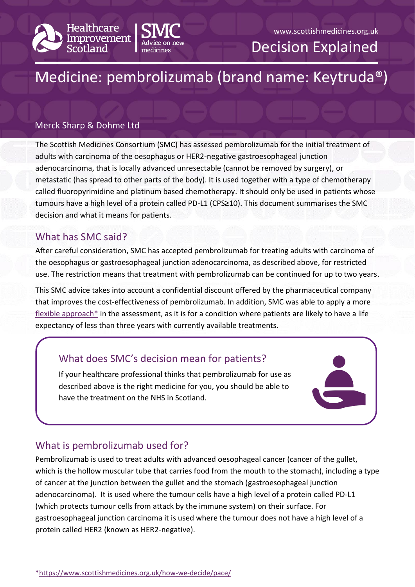



#### www.scottishmedicines.org.uk

Decision Explained

# Medicine: pembrolizumab (brand name: Keytruda®)

#### Merck Sharp & Dohme Ltd

The Scottish Medicines Consortium (SMC) has assessed pembrolizumab for the initial treatment of adults with carcinoma of the oesophagus or HER2-negative gastroesophageal junction adenocarcinoma, that is locally advanced unresectable (cannot be removed by surgery), or metastatic (has spread to other parts of the body). It is used together with a type of chemotherapy called fluoropyrimidine and platinum based chemotherapy. It should only be used in patients whose tumours have a high level of a protein called PD-L1 (CPS≥10). This document summarises the SMC decision and what it means for patients.

#### What has SMC said?

After careful consideration, SMC has accepted pembrolizumab for treating adults with carcinoma of the oesophagus or gastroesophageal junction adenocarcinoma, as described above, for restricted use. The restriction means that treatment with pembrolizumab can be continued for up to two years.

This SMC advice takes into account a confidential discount offered by the pharmaceutical company that improves the cost-effectiveness of pembrolizumab. In addition, SMC was able to apply a more [flexible approach\\*](https://www.scottishmedicines.org.uk/how-we-decide/pace/) in the assessment, as it is for a condition where patients are likely to have a life expectancy of less than three years with currently available treatments.

## What does SMC's decision mean for patients?

If your healthcare professional thinks that pembrolizumab for use as described above is the right medicine for you, you should be able to have the treatment on the NHS in Scotland.

# What is pembrolizumab used for?

Pembrolizumab is used to treat adults with advanced oesophageal cancer (cancer of the gullet, which is the hollow muscular tube that carries food from the mouth to the stomach), including a type of cancer at the junction between the gullet and the stomach (gastroesophageal junction adenocarcinoma). It is used where the tumour cells have a high level of a protein called PD-L1 (which protects tumour cells from attack by the immune system) on their surface. For gastroesophageal junction carcinoma it is used where the tumour does not have a high level of a protein called HER2 (known as HER2-negative).